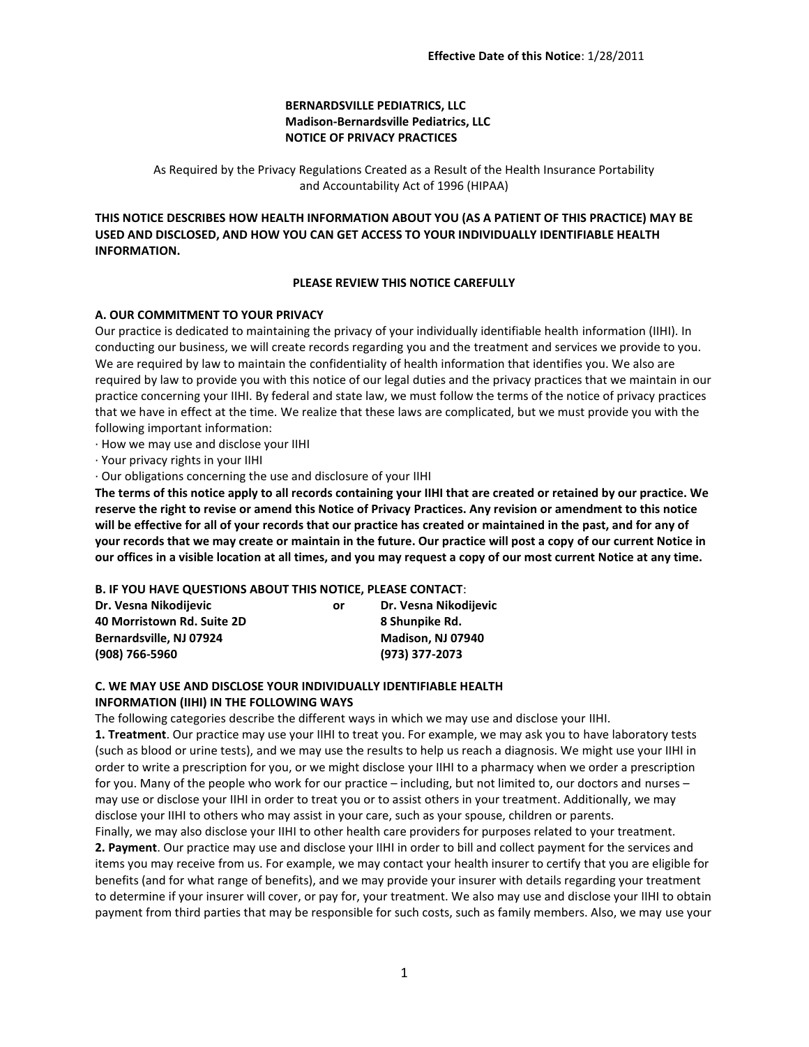## **BERNARDSVILLE PEDIATRICS, LLC Madison-Bernardsville Pediatrics, LLC NOTICE OF PRIVACY PRACTICES**

As Required by the Privacy Regulations Created as a Result of the Health Insurance Portability and Accountability Act of 1996 (HIPAA)

**THIS NOTICE DESCRIBES HOW HEALTH INFORMATION ABOUT YOU (AS A PATIENT OF THIS PRACTICE) MAY BE USED AND DISCLOSED, AND HOW YOU CAN GET ACCESS TO YOUR INDIVIDUALLY IDENTIFIABLE HEALTH INFORMATION.**

## **PLEASE REVIEW THIS NOTICE CAREFULLY**

## **A. OUR COMMITMENT TO YOUR PRIVACY**

Our practice is dedicated to maintaining the privacy of your individually identifiable health information (IIHI). In conducting our business, we will create records regarding you and the treatment and services we provide to you. We are required by law to maintain the confidentiality of health information that identifies you. We also are required by law to provide you with this notice of our legal duties and the privacy practices that we maintain in our practice concerning your IIHI. By federal and state law, we must follow the terms of the notice of privacy practices that we have in effect at the time. We realize that these laws are complicated, but we must provide you with the following important information:

· How we may use and disclose your IIHI

· Your privacy rights in your IIHI

· Our obligations concerning the use and disclosure of your IIHI

**The terms of this notice apply to all records containing your IIHI that are created or retained by our practice. We reserve the right to revise or amend this Notice of Privacy Practices. Any revision or amendment to this notice will be effective for all of your records that our practice has created or maintained in the past, and for any of your records that we may create or maintain in the future. Our practice will post a copy of our current Notice in our offices in a visible location at all times, and you may request a copy of our most current Notice at any time.**

#### **B. IF YOU HAVE QUESTIONS ABOUT THIS NOTICE, PLEASE CONTACT**:

| Dr. Vesna Nikodijevic      | or | Dr. Vesna Nikodijevic    |
|----------------------------|----|--------------------------|
| 40 Morristown Rd. Suite 2D |    | 8 Shunpike Rd.           |
| Bernardsville, NJ 07924    |    | <b>Madison, NJ 07940</b> |
| (908) 766-5960             |    | (973) 377-2073           |

# **C. WE MAY USE AND DISCLOSE YOUR INDIVIDUALLY IDENTIFIABLE HEALTH INFORMATION (IIHI) IN THE FOLLOWING WAYS**

The following categories describe the different ways in which we may use and disclose your IIHI.

**1. Treatment**. Our practice may use your IIHI to treat you. For example, we may ask you to have laboratory tests (such as blood or urine tests), and we may use the results to help us reach a diagnosis. We might use your IIHI in order to write a prescription for you, or we might disclose your IIHI to a pharmacy when we order a prescription for you. Many of the people who work for our practice – including, but not limited to, our doctors and nurses – may use or disclose your IIHI in order to treat you or to assist others in your treatment. Additionally, we may disclose your IIHI to others who may assist in your care, such as your spouse, children or parents.

Finally, we may also disclose your IIHI to other health care providers for purposes related to your treatment. **2. Payment**. Our practice may use and disclose your IIHI in order to bill and collect payment for the services and items you may receive from us. For example, we may contact your health insurer to certify that you are eligible for benefits (and for what range of benefits), and we may provide your insurer with details regarding your treatment to determine if your insurer will cover, or pay for, your treatment. We also may use and disclose your IIHI to obtain payment from third parties that may be responsible for such costs, such as family members. Also, we may use your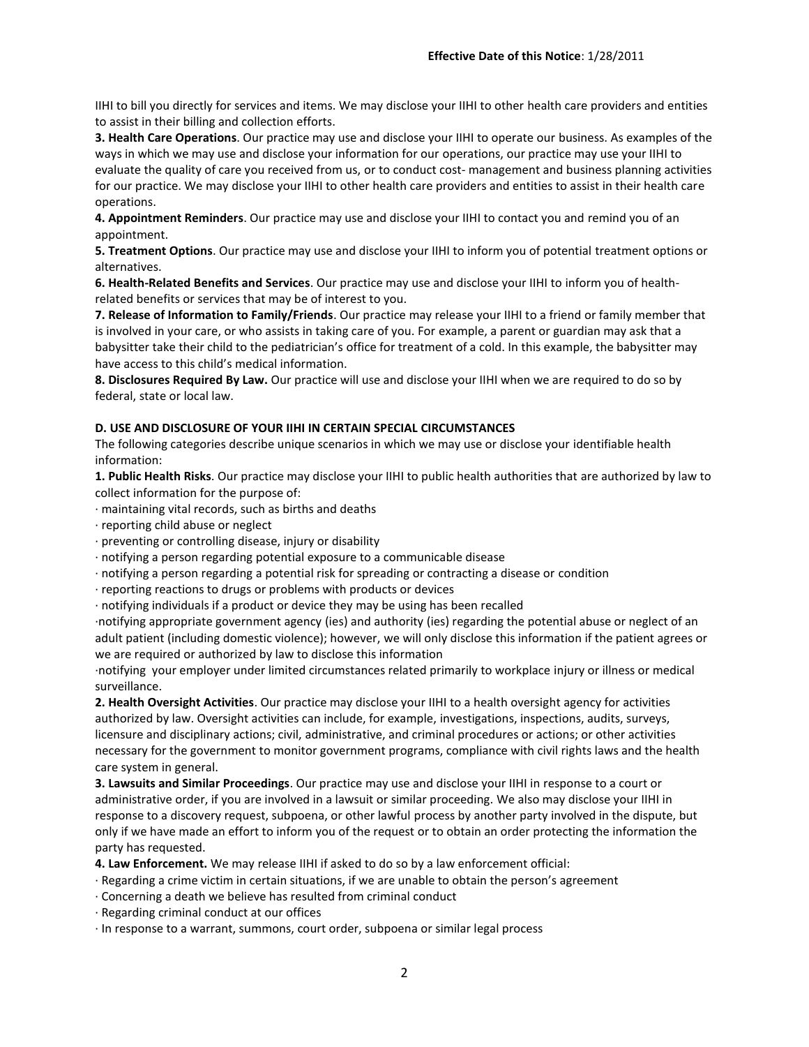IIHI to bill you directly for services and items. We may disclose your IIHI to other health care providers and entities to assist in their billing and collection efforts.

**3. Health Care Operations**. Our practice may use and disclose your IIHI to operate our business. As examples of the ways in which we may use and disclose your information for our operations, our practice may use your IIHI to evaluate the quality of care you received from us, or to conduct cost- management and business planning activities for our practice. We may disclose your IIHI to other health care providers and entities to assist in their health care operations.

**4. Appointment Reminders**. Our practice may use and disclose your IIHI to contact you and remind you of an appointment.

**5. Treatment Options**. Our practice may use and disclose your IIHI to inform you of potential treatment options or alternatives.

**6. Health-Related Benefits and Services**. Our practice may use and disclose your IIHI to inform you of healthrelated benefits or services that may be of interest to you.

**7. Release of Information to Family/Friends**. Our practice may release your IIHI to a friend or family member that is involved in your care, or who assists in taking care of you. For example, a parent or guardian may ask that a babysitter take their child to the pediatrician's office for treatment of a cold. In this example, the babysitter may have access to this child's medical information.

**8. Disclosures Required By Law.** Our practice will use and disclose your IIHI when we are required to do so by federal, state or local law.

## **D. USE AND DISCLOSURE OF YOUR IIHI IN CERTAIN SPECIAL CIRCUMSTANCES**

The following categories describe unique scenarios in which we may use or disclose your identifiable health information:

**1. Public Health Risks**. Our practice may disclose your IIHI to public health authorities that are authorized by law to collect information for the purpose of:

- · maintaining vital records, such as births and deaths
- · reporting child abuse or neglect
- · preventing or controlling disease, injury or disability
- · notifying a person regarding potential exposure to a communicable disease
- · notifying a person regarding a potential risk for spreading or contracting a disease or condition
- · reporting reactions to drugs or problems with products or devices
- · notifying individuals if a product or device they may be using has been recalled

·notifying appropriate government agency (ies) and authority (ies) regarding the potential abuse or neglect of an adult patient (including domestic violence); however, we will only disclose this information if the patient agrees or we are required or authorized by law to disclose this information

·notifying your employer under limited circumstances related primarily to workplace injury or illness or medical surveillance.

**2. Health Oversight Activities**. Our practice may disclose your IIHI to a health oversight agency for activities authorized by law. Oversight activities can include, for example, investigations, inspections, audits, surveys, licensure and disciplinary actions; civil, administrative, and criminal procedures or actions; or other activities necessary for the government to monitor government programs, compliance with civil rights laws and the health care system in general.

**3. Lawsuits and Similar Proceedings**. Our practice may use and disclose your IIHI in response to a court or administrative order, if you are involved in a lawsuit or similar proceeding. We also may disclose your IIHI in response to a discovery request, subpoena, or other lawful process by another party involved in the dispute, but only if we have made an effort to inform you of the request or to obtain an order protecting the information the party has requested.

**4. Law Enforcement.** We may release IIHI if asked to do so by a law enforcement official:

- · Regarding a crime victim in certain situations, if we are unable to obtain the person's agreement
- · Concerning a death we believe has resulted from criminal conduct
- · Regarding criminal conduct at our offices
- · In response to a warrant, summons, court order, subpoena or similar legal process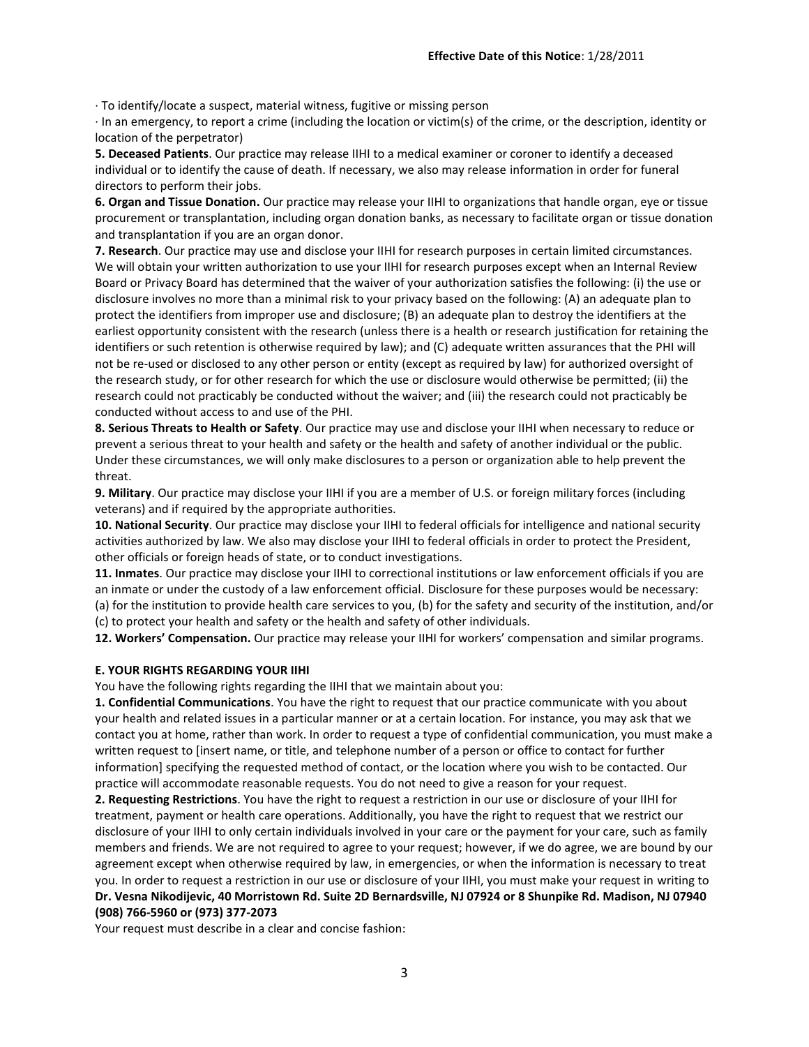· To identify/locate a suspect, material witness, fugitive or missing person

· In an emergency, to report a crime (including the location or victim(s) of the crime, or the description, identity or location of the perpetrator)

**5. Deceased Patients**. Our practice may release IIHI to a medical examiner or coroner to identify a deceased individual or to identify the cause of death. If necessary, we also may release information in order for funeral directors to perform their jobs.

**6. Organ and Tissue Donation.** Our practice may release your IIHI to organizations that handle organ, eye or tissue procurement or transplantation, including organ donation banks, as necessary to facilitate organ or tissue donation and transplantation if you are an organ donor.

**7. Research**. Our practice may use and disclose your IIHI for research purposes in certain limited circumstances. We will obtain your written authorization to use your IIHI for research purposes except when an Internal Review Board or Privacy Board has determined that the waiver of your authorization satisfies the following: (i) the use or disclosure involves no more than a minimal risk to your privacy based on the following: (A) an adequate plan to protect the identifiers from improper use and disclosure; (B) an adequate plan to destroy the identifiers at the earliest opportunity consistent with the research (unless there is a health or research justification for retaining the identifiers or such retention is otherwise required by law); and (C) adequate written assurances that the PHI will not be re-used or disclosed to any other person or entity (except as required by law) for authorized oversight of the research study, or for other research for which the use or disclosure would otherwise be permitted; (ii) the research could not practicably be conducted without the waiver; and (iii) the research could not practicably be conducted without access to and use of the PHI.

**8. Serious Threats to Health or Safety**. Our practice may use and disclose your IIHI when necessary to reduce or prevent a serious threat to your health and safety or the health and safety of another individual or the public. Under these circumstances, we will only make disclosures to a person or organization able to help prevent the threat.

**9. Military**. Our practice may disclose your IIHI if you are a member of U.S. or foreign military forces (including veterans) and if required by the appropriate authorities.

**10. National Security**. Our practice may disclose your IIHI to federal officials for intelligence and national security activities authorized by law. We also may disclose your IIHI to federal officials in order to protect the President, other officials or foreign heads of state, or to conduct investigations.

**11. Inmates**. Our practice may disclose your IIHI to correctional institutions or law enforcement officials if you are an inmate or under the custody of a law enforcement official. Disclosure for these purposes would be necessary: (a) for the institution to provide health care services to you, (b) for the safety and security of the institution, and/or

(c) to protect your health and safety or the health and safety of other individuals. **12. Workers' Compensation.** Our practice may release your IIHI for workers' compensation and similar programs.

#### **E. YOUR RIGHTS REGARDING YOUR IIHI**

You have the following rights regarding the IIHI that we maintain about you:

**1. Confidential Communications**. You have the right to request that our practice communicate with you about your health and related issues in a particular manner or at a certain location. For instance, you may ask that we contact you at home, rather than work. In order to request a type of confidential communication, you must make a written request to [insert name, or title, and telephone number of a person or office to contact for further information] specifying the requested method of contact, or the location where you wish to be contacted. Our practice will accommodate reasonable requests. You do not need to give a reason for your request.

**2. Requesting Restrictions**. You have the right to request a restriction in our use or disclosure of your IIHI for treatment, payment or health care operations. Additionally, you have the right to request that we restrict our disclosure of your IIHI to only certain individuals involved in your care or the payment for your care, such as family members and friends. We are not required to agree to your request; however, if we do agree, we are bound by our agreement except when otherwise required by law, in emergencies, or when the information is necessary to treat you. In order to request a restriction in our use or disclosure of your IIHI, you must make your request in writing to **Dr. Vesna Nikodijevic, 40 Morristown Rd. Suite 2D Bernardsville, NJ 07924 or 8 Shunpike Rd. Madison, NJ 07940 (908) 766-5960 or (973) 377-2073**

Your request must describe in a clear and concise fashion: